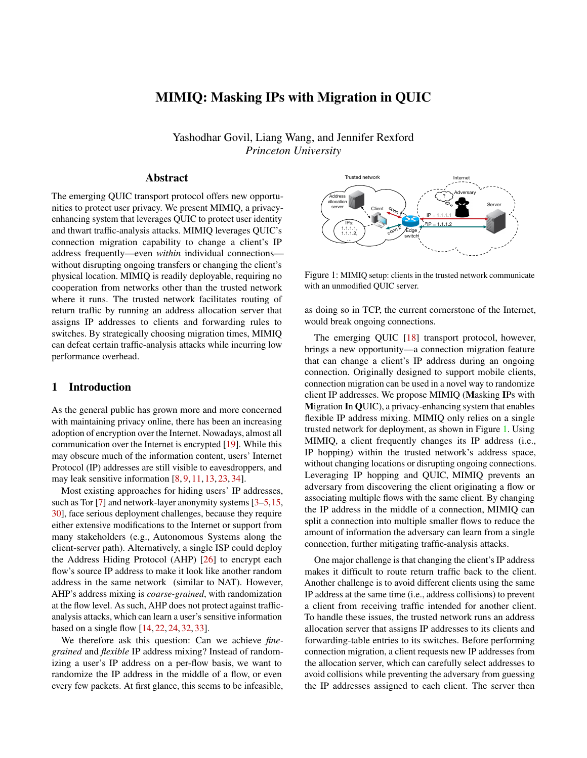# MIMIQ: Masking IPs with Migration in QUIC

Yashodhar Govil, Liang Wang, and Jennifer Rexford *Princeton University*

## Abstract

The emerging QUIC transport protocol offers new opportunities to protect user privacy. We present MIMIQ, a privacyenhancing system that leverages QUIC to protect user identity and thwart traffic-analysis attacks. MIMIQ leverages QUIC's connection migration capability to change a client's IP address frequently—even *within* individual connections without disrupting ongoing transfers or changing the client's physical location. MIMIQ is readily deployable, requiring no cooperation from networks other than the trusted network where it runs. The trusted network facilitates routing of return traffic by running an address allocation server that assigns IP addresses to clients and forwarding rules to switches. By strategically choosing migration times, MIMIQ can defeat certain traffic-analysis attacks while incurring low performance overhead.

#### 1 Introduction

As the general public has grown more and more concerned with maintaining privacy online, there has been an increasing adoption of encryption over the Internet. Nowadays, almost all communication over the Internet is encrypted [\[19\]](#page-6-0). While this may obscure much of the information content, users' Internet Protocol (IP) addresses are still visible to eavesdroppers, and may leak sensitive information [\[8,](#page-6-1) [9,](#page-6-2) [11,](#page-6-3) [13,](#page-6-4) [23,](#page-6-5) [34\]](#page-7-0).

Most existing approaches for hiding users' IP addresses, such as Tor [\[7\]](#page-6-6) and network-layer anonymity systems [\[3](#page-6-7)[–5,](#page-6-8)[15,](#page-6-9) [30\]](#page-7-1), face serious deployment challenges, because they require either extensive modifications to the Internet or support from many stakeholders (e.g., Autonomous Systems along the client-server path). Alternatively, a single ISP could deploy the Address Hiding Protocol (AHP) [\[26\]](#page-7-2) to encrypt each flow's source IP address to make it look like another random address in the same network (similar to NAT). However, AHP's address mixing is *coarse-grained*, with randomization at the flow level. As such, AHP does not protect against trafficanalysis attacks, which can learn a user's sensitive information based on a single flow [\[14,](#page-6-10) [22,](#page-6-11) [24,](#page-6-12) [32,](#page-7-3) [33\]](#page-7-4).

We therefore ask this question: Can we achieve *finegrained* and *flexible* IP address mixing? Instead of randomizing a user's IP address on a per-flow basis, we want to randomize the IP address in the middle of a flow, or even every few packets. At first glance, this seems to be infeasible,



<span id="page-0-0"></span>Figure 1: MIMIQ setup: clients in the trusted network communicate with an unmodified QUIC server.

as doing so in TCP, the current cornerstone of the Internet, would break ongoing connections.

The emerging QUIC [\[18\]](#page-6-13) transport protocol, however, brings a new opportunity—a connection migration feature that can change a client's IP address during an ongoing connection. Originally designed to support mobile clients, connection migration can be used in a novel way to randomize client IP addresses. We propose MIMIQ (Masking IPs with Migration In QUIC), a privacy-enhancing system that enables flexible IP address mixing. MIMIQ only relies on a single trusted network for deployment, as shown in Figure [1.](#page-0-0) Using MIMIQ, a client frequently changes its IP address (i.e., IP hopping) within the trusted network's address space, without changing locations or disrupting ongoing connections. Leveraging IP hopping and QUIC, MIMIQ prevents an adversary from discovering the client originating a flow or associating multiple flows with the same client. By changing the IP address in the middle of a connection, MIMIQ can split a connection into multiple smaller flows to reduce the amount of information the adversary can learn from a single connection, further mitigating traffic-analysis attacks.

One major challenge is that changing the client's IP address makes it difficult to route return traffic back to the client. Another challenge is to avoid different clients using the same IP address at the same time (i.e., address collisions) to prevent a client from receiving traffic intended for another client. To handle these issues, the trusted network runs an address allocation server that assigns IP addresses to its clients and forwarding-table entries to its switches. Before performing connection migration, a client requests new IP addresses from the allocation server, which can carefully select addresses to avoid collisions while preventing the adversary from guessing the IP addresses assigned to each client. The server then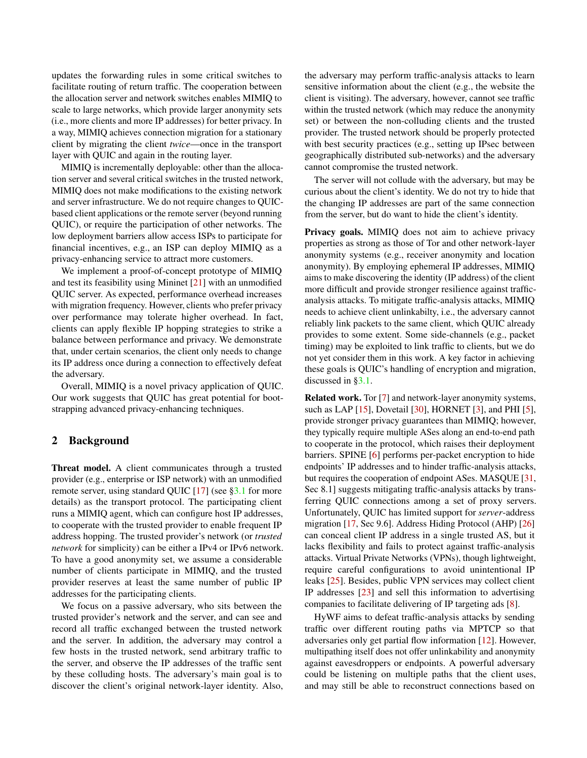updates the forwarding rules in some critical switches to facilitate routing of return traffic. The cooperation between the allocation server and network switches enables MIMIQ to scale to large networks, which provide larger anonymity sets (i.e., more clients and more IP addresses) for better privacy. In a way, MIMIQ achieves connection migration for a stationary client by migrating the client *twice*—once in the transport layer with QUIC and again in the routing layer.

MIMIQ is incrementally deployable: other than the allocation server and several critical switches in the trusted network, MIMIQ does not make modifications to the existing network and server infrastructure. We do not require changes to QUICbased client applications or the remote server (beyond running QUIC), or require the participation of other networks. The low deployment barriers allow access ISPs to participate for financial incentives, e.g., an ISP can deploy MIMIQ as a privacy-enhancing service to attract more customers.

We implement a proof-of-concept prototype of MIMIQ and test its feasibility using Mininet [\[21\]](#page-6-14) with an unmodified QUIC server. As expected, performance overhead increases with migration frequency. However, clients who prefer privacy over performance may tolerate higher overhead. In fact, clients can apply flexible IP hopping strategies to strike a balance between performance and privacy. We demonstrate that, under certain scenarios, the client only needs to change its IP address once during a connection to effectively defeat the adversary.

Overall, MIMIQ is a novel privacy application of QUIC. Our work suggests that QUIC has great potential for bootstrapping advanced privacy-enhancing techniques.

#### 2 Background

Threat model. A client communicates through a trusted provider (e.g., enterprise or ISP network) with an unmodified remote server, using standard QUIC [\[17\]](#page-6-15) (see [§3.1](#page-2-0) for more details) as the transport protocol. The participating client runs a MIMIQ agent, which can configure host IP addresses, to cooperate with the trusted provider to enable frequent IP address hopping. The trusted provider's network (or *trusted network* for simplicity) can be either a IPv4 or IPv6 network. To have a good anonymity set, we assume a considerable number of clients participate in MIMIQ, and the trusted provider reserves at least the same number of public IP addresses for the participating clients.

We focus on a passive adversary, who sits between the trusted provider's network and the server, and can see and record all traffic exchanged between the trusted network and the server. In addition, the adversary may control a few hosts in the trusted network, send arbitrary traffic to the server, and observe the IP addresses of the traffic sent by these colluding hosts. The adversary's main goal is to discover the client's original network-layer identity. Also, the adversary may perform traffic-analysis attacks to learn sensitive information about the client (e.g., the website the client is visiting). The adversary, however, cannot see traffic within the trusted network (which may reduce the anonymity set) or between the non-colluding clients and the trusted provider. The trusted network should be properly protected with best security practices (e.g., setting up IPsec between geographically distributed sub-networks) and the adversary cannot compromise the trusted network.

The server will not collude with the adversary, but may be curious about the client's identity. We do not try to hide that the changing IP addresses are part of the same connection from the server, but do want to hide the client's identity.

Privacy goals. MIMIQ does not aim to achieve privacy properties as strong as those of Tor and other network-layer anonymity systems (e.g., receiver anonymity and location anonymity). By employing ephemeral IP addresses, MIMIQ aims to make discovering the identity (IP address) of the client more difficult and provide stronger resilience against trafficanalysis attacks. To mitigate traffic-analysis attacks, MIMIQ needs to achieve client unlinkabilty, i.e., the adversary cannot reliably link packets to the same client, which QUIC already provides to some extent. Some side-channels (e.g., packet timing) may be exploited to link traffic to clients, but we do not yet consider them in this work. A key factor in achieving these goals is QUIC's handling of encryption and migration, discussed in [§3.1.](#page-2-0)

Related work. Tor [\[7\]](#page-6-6) and network-layer anonymity systems, such as LAP  $[15]$ , Dovetail  $[30]$ , HORNET  $[3]$ , and PHI  $[5]$ , provide stronger privacy guarantees than MIMIQ; however, they typically require multiple ASes along an end-to-end path to cooperate in the protocol, which raises their deployment barriers. SPINE [\[6\]](#page-6-16) performs per-packet encryption to hide endpoints' IP addresses and to hinder traffic-analysis attacks, but requires the cooperation of endpoint ASes. MASQUE [\[31,](#page-7-5) Sec 8.1] suggests mitigating traffic-analysis attacks by transferring QUIC connections among a set of proxy servers. Unfortunately, QUIC has limited support for *server*-address migration [\[17,](#page-6-15) Sec 9.6]. Address Hiding Protocol (AHP) [\[26\]](#page-7-2) can conceal client IP address in a single trusted AS, but it lacks flexibility and fails to protect against traffic-analysis attacks. Virtual Private Networks (VPNs), though lightweight, require careful configurations to avoid unintentional IP leaks [\[25\]](#page-6-17). Besides, public VPN services may collect client IP addresses [\[23\]](#page-6-5) and sell this information to advertising companies to facilitate delivering of IP targeting ads [\[8\]](#page-6-1).

HyWF aims to defeat traffic-analysis attacks by sending traffic over different routing paths via MPTCP so that adversaries only get partial flow information [\[12\]](#page-6-18). However, multipathing itself does not offer unlinkability and anonymity against eavesdroppers or endpoints. A powerful adversary could be listening on multiple paths that the client uses, and may still be able to reconstruct connections based on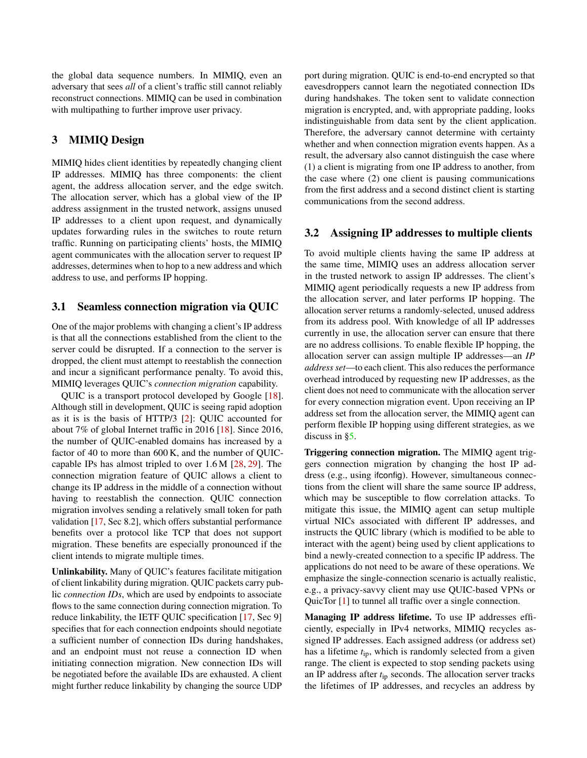the global data sequence numbers. In MIMIQ, even an adversary that sees *all* of a client's traffic still cannot reliably reconstruct connections. MIMIQ can be used in combination with multipathing to further improve user privacy.

### 3 MIMIQ Design

MIMIQ hides client identities by repeatedly changing client IP addresses. MIMIQ has three components: the client agent, the address allocation server, and the edge switch. The allocation server, which has a global view of the IP address assignment in the trusted network, assigns unused IP addresses to a client upon request, and dynamically updates forwarding rules in the switches to route return traffic. Running on participating clients' hosts, the MIMIQ agent communicates with the allocation server to request IP addresses, determines when to hop to a new address and which address to use, and performs IP hopping.

#### <span id="page-2-0"></span>3.1 Seamless connection migration via QUIC

One of the major problems with changing a client's IP address is that all the connections established from the client to the server could be disrupted. If a connection to the server is dropped, the client must attempt to reestablish the connection and incur a significant performance penalty. To avoid this, MIMIQ leverages QUIC's *connection migration* capability.

QUIC is a transport protocol developed by Google [\[18\]](#page-6-13). Although still in development, QUIC is seeing rapid adoption as it is is the basis of HTTP/3 [\[2\]](#page-6-19): QUIC accounted for about 7% of global Internet traffic in 2016 [\[18\]](#page-6-13). Since 2016, the number of QUIC-enabled domains has increased by a factor of 40 to more than 600 K, and the number of QUICcapable IPs has almost tripled to over 1.6 M [\[28,](#page-7-6) [29\]](#page-7-7). The connection migration feature of QUIC allows a client to change its IP address in the middle of a connection without having to reestablish the connection. QUIC connection migration involves sending a relatively small token for path validation [\[17,](#page-6-15) Sec 8.2], which offers substantial performance benefits over a protocol like TCP that does not support migration. These benefits are especially pronounced if the client intends to migrate multiple times.

Unlinkability. Many of QUIC's features facilitate mitigation of client linkability during migration. QUIC packets carry public *connection IDs*, which are used by endpoints to associate flows to the same connection during connection migration. To reduce linkability, the IETF QUIC specification [\[17,](#page-6-15) Sec 9] specifies that for each connection endpoints should negotiate a sufficient number of connection IDs during handshakes, and an endpoint must not reuse a connection ID when initiating connection migration. New connection IDs will be negotiated before the available IDs are exhausted. A client might further reduce linkability by changing the source UDP

port during migration. QUIC is end-to-end encrypted so that eavesdroppers cannot learn the negotiated connection IDs during handshakes. The token sent to validate connection migration is encrypted, and, with appropriate padding, looks indistinguishable from data sent by the client application. Therefore, the adversary cannot determine with certainty whether and when connection migration events happen. As a result, the adversary also cannot distinguish the case where (1) a client is migrating from one IP address to another, from the case where (2) one client is pausing communications from the first address and a second distinct client is starting communications from the second address.

### 3.2 Assigning IP addresses to multiple clients

To avoid multiple clients having the same IP address at the same time, MIMIQ uses an address allocation server in the trusted network to assign IP addresses. The client's MIMIQ agent periodically requests a new IP address from the allocation server, and later performs IP hopping. The allocation server returns a randomly-selected, unused address from its address pool. With knowledge of all IP addresses currently in use, the allocation server can ensure that there are no address collisions. To enable flexible IP hopping, the allocation server can assign multiple IP addresses—an *IP address set*—to each client. This also reduces the performance overhead introduced by requesting new IP addresses, as the client does not need to communicate with the allocation server for every connection migration event. Upon receiving an IP address set from the allocation server, the MIMIQ agent can perform flexible IP hopping using different strategies, as we discuss in [§5.](#page-5-0)

Triggering connection migration. The MIMIQ agent triggers connection migration by changing the host IP address (e.g., using ifconfig). However, simultaneous connections from the client will share the same source IP address, which may be susceptible to flow correlation attacks. To mitigate this issue, the MIMIQ agent can setup multiple virtual NICs associated with different IP addresses, and instructs the QUIC library (which is modified to be able to interact with the agent) being used by client applications to bind a newly-created connection to a specific IP address. The applications do not need to be aware of these operations. We emphasize the single-connection scenario is actually realistic, e.g., a privacy-savvy client may use QUIC-based VPNs or QuicTor [\[1\]](#page-6-20) to tunnel all traffic over a single connection.

Managing IP address lifetime. To use IP addresses efficiently, especially in IPv4 networks, MIMIQ recycles assigned IP addresses. Each assigned address (or address set) has a lifetime *t*ip, which is randomly selected from a given range. The client is expected to stop sending packets using an IP address after *t*ip seconds. The allocation server tracks the lifetimes of IP addresses, and recycles an address by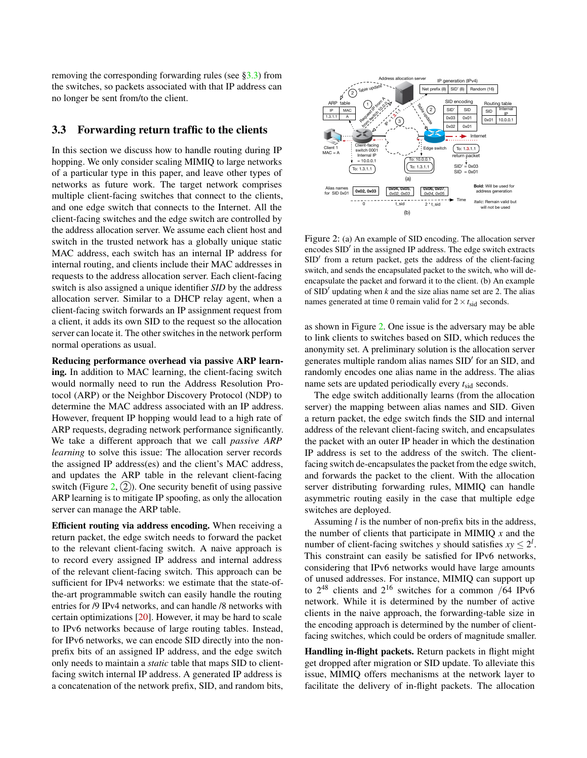removing the corresponding forwarding rules (see [§3.3\)](#page-3-0) from the switches, so packets associated with that IP address can no longer be sent from/to the client.

### <span id="page-3-0"></span>3.3 Forwarding return traffic to the clients

In this section we discuss how to handle routing during IP hopping. We only consider scaling MIMIQ to large networks of a particular type in this paper, and leave other types of networks as future work. The target network comprises multiple client-facing switches that connect to the clients, and one edge switch that connects to the Internet. All the client-facing switches and the edge switch are controlled by the address allocation server. We assume each client host and switch in the trusted network has a globally unique static MAC address, each switch has an internal IP address for internal routing, and clients include their MAC addresses in requests to the address allocation server. Each client-facing switch is also assigned a unique identifier *SID* by the address allocation server. Similar to a DHCP relay agent, when a client-facing switch forwards an IP assignment request from a client, it adds its own SID to the request so the allocation server can locate it. The other switches in the network perform normal operations as usual.

Reducing performance overhead via passive ARP learning. In addition to MAC learning, the client-facing switch would normally need to run the Address Resolution Protocol (ARP) or the Neighbor Discovery Protocol (NDP) to determine the MAC address associated with an IP address. However, frequent IP hopping would lead to a high rate of ARP requests, degrading network performance significantly. We take a different approach that we call *passive ARP learning* to solve this issue: The allocation server records the assigned IP address(es) and the client's MAC address, and updates the ARP table in the relevant client-facing switch (Figure [2,](#page-3-1)  $(2)$ ). One security benefit of using passive ARP learning is to mitigate IP spoofing, as only the allocation server can manage the ARP table.

Efficient routing via address encoding. When receiving a return packet, the edge switch needs to forward the packet to the relevant client-facing switch. A naive approach is to record every assigned IP address and internal address of the relevant client-facing switch. This approach can be sufficient for IPv4 networks: we estimate that the state-ofthe-art programmable switch can easily handle the routing entries for /9 IPv4 networks, and can handle /8 networks with certain optimizations [\[20\]](#page-6-21). However, it may be hard to scale to IPv6 networks because of large routing tables. Instead, for IPv6 networks, we can encode SID directly into the nonprefix bits of an assigned IP address, and the edge switch only needs to maintain a *static* table that maps SID to clientfacing switch internal IP address. A generated IP address is a concatenation of the network prefix, SID, and random bits,



<span id="page-3-1"></span>Figure 2: (a) An example of SID encoding. The allocation server encodes SID' in the assigned IP address. The edge switch extracts SID' from a return packet, gets the address of the client-facing switch, and sends the encapsulated packet to the switch, who will deencapsulate the packet and forward it to the client. (b) An example of  $SID'$  updating when  $k$  and the size alias name set are 2. The alias names generated at time 0 remain valid for  $2 \times t_{\text{sid}}$  seconds.

as shown in Figure [2.](#page-3-1) One issue is the adversary may be able to link clients to switches based on SID, which reduces the anonymity set. A preliminary solution is the allocation server generates multiple random alias names SID' for an SID, and randomly encodes one alias name in the address. The alias name sets are updated periodically every  $t_{\text{sid}}$  seconds.

The edge switch additionally learns (from the allocation server) the mapping between alias names and SID. Given a return packet, the edge switch finds the SID and internal address of the relevant client-facing switch, and encapsulates the packet with an outer IP header in which the destination IP address is set to the address of the switch. The clientfacing switch de-encapsulates the packet from the edge switch, and forwards the packet to the client. With the allocation server distributing forwarding rules, MIMIQ can handle asymmetric routing easily in the case that multiple edge switches are deployed.

Assuming *l* is the number of non-prefix bits in the address, the number of clients that participate in MIMIQ *x* and the number of client-facing switches *y* should satisfies  $xy \leq 2^l$ . This constraint can easily be satisfied for IPv6 networks, considering that IPv6 networks would have large amounts of unused addresses. For instance, MIMIQ can support up to  $2^{48}$  clients and  $2^{16}$  switches for a common /64 IPv6 network. While it is determined by the number of active clients in the naive approach, the forwarding-table size in the encoding approach is determined by the number of clientfacing switches, which could be orders of magnitude smaller.

Handling in-flight packets. Return packets in flight might get dropped after migration or SID update. To alleviate this issue, MIMIQ offers mechanisms at the network layer to facilitate the delivery of in-flight packets. The allocation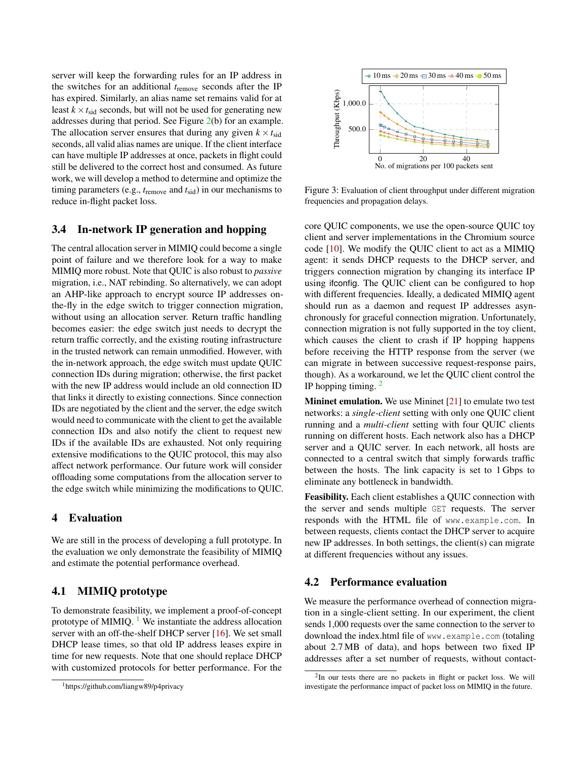server will keep the forwarding rules for an IP address in the switches for an additional *t*remove seconds after the IP has expired. Similarly, an alias name set remains valid for at least  $k \times t_{sid}$  seconds, but will not be used for generating new addresses during that period. See Figure [2\(](#page-3-1)b) for an example. The allocation server ensures that during any given  $k \times t_{\text{sid}}$ seconds, all valid alias names are unique. If the client interface can have multiple IP addresses at once, packets in flight could still be delivered to the correct host and consumed. As future work, we will develop a method to determine and optimize the timing parameters (e.g., *t*remove and *t*sid) in our mechanisms to reduce in-flight packet loss.

### 3.4 In-network IP generation and hopping

The central allocation server in MIMIQ could become a single point of failure and we therefore look for a way to make MIMIQ more robust. Note that QUIC is also robust to *passive* migration, i.e., NAT rebinding. So alternatively, we can adopt an AHP-like approach to encrypt source IP addresses onthe-fly in the edge switch to trigger connection migration, without using an allocation server. Return traffic handling becomes easier: the edge switch just needs to decrypt the return traffic correctly, and the existing routing infrastructure in the trusted network can remain unmodified. However, with the in-network approach, the edge switch must update QUIC connection IDs during migration; otherwise, the first packet with the new IP address would include an old connection ID that links it directly to existing connections. Since connection IDs are negotiated by the client and the server, the edge switch would need to communicate with the client to get the available connection IDs and also notify the client to request new IDs if the available IDs are exhausted. Not only requiring extensive modifications to the QUIC protocol, this may also affect network performance. Our future work will consider offloading some computations from the allocation server to the edge switch while minimizing the modifications to QUIC.

#### 4 Evaluation

We are still in the process of developing a full prototype. In the evaluation we only demonstrate the feasibility of MIMIQ and estimate the potential performance overhead.

## 4.1 MIMIQ prototype

To demonstrate feasibility, we implement a proof-of-concept prototype of MIMIQ.  $<sup>1</sup>$  $<sup>1</sup>$  $<sup>1</sup>$  We instantiate the address allocation</sup> server with an off-the-shelf DHCP server [\[16\]](#page-6-22). We set small DHCP lease times, so that old IP address leases expire in time for new requests. Note that one should replace DHCP with customized protocols for better performance. For the



<span id="page-4-2"></span>Figure 3: Evaluation of client throughput under different migration frequencies and propagation delays.

core QUIC components, we use the open-source QUIC toy client and server implementations in the Chromium source code [\[10\]](#page-6-23). We modify the QUIC client to act as a MIMIQ agent: it sends DHCP requests to the DHCP server, and triggers connection migration by changing its interface IP using ifconfig. The QUIC client can be configured to hop with different frequencies. Ideally, a dedicated MIMIQ agent should run as a daemon and request IP addresses asynchronously for graceful connection migration. Unfortunately, connection migration is not fully supported in the toy client, which causes the client to crash if IP hopping happens before receiving the HTTP response from the server (we can migrate in between successive request-response pairs, though). As a workaround, we let the QUIC client control the IP hopping timing.  $2$ 

Mininet emulation. We use Mininet [\[21\]](#page-6-14) to emulate two test networks: a *single-client* setting with only one QUIC client running and a *multi-client* setting with four QUIC clients running on different hosts. Each network also has a DHCP server and a QUIC server. In each network, all hosts are connected to a central switch that simply forwards traffic between the hosts. The link capacity is set to 1 Gbps to eliminate any bottleneck in bandwidth.

Feasibility. Each client establishes a QUIC connection with the server and sends multiple GET requests. The server responds with the HTML file of www.example.com. In between requests, clients contact the DHCP server to acquire new IP addresses. In both settings, the client(s) can migrate at different frequencies without any issues.

#### 4.2 Performance evaluation

We measure the performance overhead of connection migration in a single-client setting. In our experiment, the client sends 1,000 requests over the same connection to the server to download the index.html file of www.example.com (totaling about 2.7 MB of data), and hops between two fixed IP addresses after a set number of requests, without contact-

<span id="page-4-0"></span><sup>&</sup>lt;sup>1</sup>https://github.com/liangw89/p4privacy

<span id="page-4-1"></span> $2$ In our tests there are no packets in flight or packet loss. We will investigate the performance impact of packet loss on MIMIQ in the future.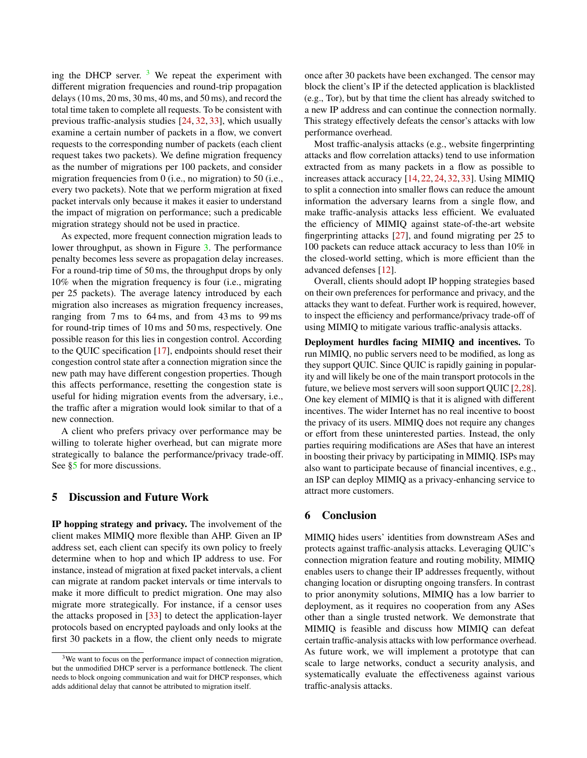ing the DHCP server.  $3$  We repeat the experiment with different migration frequencies and round-trip propagation delays (10 ms, 20 ms, 30 ms, 40 ms, and 50 ms), and record the total time taken to complete all requests. To be consistent with previous traffic-analysis studies [\[24,](#page-6-12) [32,](#page-7-3) [33\]](#page-7-4), which usually examine a certain number of packets in a flow, we convert requests to the corresponding number of packets (each client request takes two packets). We define migration frequency as the number of migrations per 100 packets, and consider migration frequencies from 0 (i.e., no migration) to 50 (i.e., every two packets). Note that we perform migration at fixed packet intervals only because it makes it easier to understand the impact of migration on performance; such a predicable migration strategy should not be used in practice.

As expected, more frequent connection migration leads to lower throughput, as shown in Figure [3.](#page-4-2) The performance penalty becomes less severe as propagation delay increases. For a round-trip time of 50 ms, the throughput drops by only 10% when the migration frequency is four (i.e., migrating per 25 packets). The average latency introduced by each migration also increases as migration frequency increases, ranging from 7 ms to 64 ms, and from 43 ms to 99 ms for round-trip times of 10 ms and 50 ms, respectively. One possible reason for this lies in congestion control. According to the QUIC specification [\[17\]](#page-6-15), endpoints should reset their congestion control state after a connection migration since the new path may have different congestion properties. Though this affects performance, resetting the congestion state is useful for hiding migration events from the adversary, i.e., the traffic after a migration would look similar to that of a new connection.

A client who prefers privacy over performance may be willing to tolerate higher overhead, but can migrate more strategically to balance the performance/privacy trade-off. See [§5](#page-5-0) for more discussions.

#### <span id="page-5-0"></span>5 Discussion and Future Work

IP hopping strategy and privacy. The involvement of the client makes MIMIQ more flexible than AHP. Given an IP address set, each client can specify its own policy to freely determine when to hop and which IP address to use. For instance, instead of migration at fixed packet intervals, a client can migrate at random packet intervals or time intervals to make it more difficult to predict migration. One may also migrate more strategically. For instance, if a censor uses the attacks proposed in [\[33\]](#page-7-4) to detect the application-layer protocols based on encrypted payloads and only looks at the first 30 packets in a flow, the client only needs to migrate once after 30 packets have been exchanged. The censor may block the client's IP if the detected application is blacklisted (e.g., Tor), but by that time the client has already switched to a new IP address and can continue the connection normally. This strategy effectively defeats the censor's attacks with low performance overhead.

Most traffic-analysis attacks (e.g., website fingerprinting attacks and flow correlation attacks) tend to use information extracted from as many packets in a flow as possible to increases attack accuracy [\[14,](#page-6-10) [22,](#page-6-11) [24,](#page-6-12) [32,](#page-7-3) [33\]](#page-7-4). Using MIMIQ to split a connection into smaller flows can reduce the amount information the adversary learns from a single flow, and make traffic-analysis attacks less efficient. We evaluated the efficiency of MIMIQ against state-of-the-art website fingerprinting attacks [\[27\]](#page-7-8), and found migrating per 25 to 100 packets can reduce attack accuracy to less than 10% in the closed-world setting, which is more efficient than the advanced defenses [\[12\]](#page-6-18).

Overall, clients should adopt IP hopping strategies based on their own preferences for performance and privacy, and the attacks they want to defeat. Further work is required, however, to inspect the efficiency and performance/privacy trade-off of using MIMIQ to mitigate various traffic-analysis attacks.

Deployment hurdles facing MIMIQ and incentives. To run MIMIQ, no public servers need to be modified, as long as they support QUIC. Since QUIC is rapidly gaining in popularity and will likely be one of the main transport protocols in the future, we believe most servers will soon support QUIC [\[2](#page-6-19)[,28\]](#page-7-6). One key element of MIMIQ is that it is aligned with different incentives. The wider Internet has no real incentive to boost the privacy of its users. MIMIQ does not require any changes or effort from these uninterested parties. Instead, the only parties requiring modifications are ASes that have an interest in boosting their privacy by participating in MIMIQ. ISPs may also want to participate because of financial incentives, e.g., an ISP can deploy MIMIQ as a privacy-enhancing service to attract more customers.

#### 6 Conclusion

MIMIQ hides users' identities from downstream ASes and protects against traffic-analysis attacks. Leveraging QUIC's connection migration feature and routing mobility, MIMIQ enables users to change their IP addresses frequently, without changing location or disrupting ongoing transfers. In contrast to prior anonymity solutions, MIMIQ has a low barrier to deployment, as it requires no cooperation from any ASes other than a single trusted network. We demonstrate that MIMIQ is feasible and discuss how MIMIQ can defeat certain traffic-analysis attacks with low performance overhead. As future work, we will implement a prototype that can scale to large networks, conduct a security analysis, and systematically evaluate the effectiveness against various traffic-analysis attacks.

<span id="page-5-1"></span><sup>&</sup>lt;sup>3</sup>We want to focus on the performance impact of connection migration, but the unmodified DHCP server is a performance bottleneck. The client needs to block ongoing communication and wait for DHCP responses, which adds additional delay that cannot be attributed to migration itself.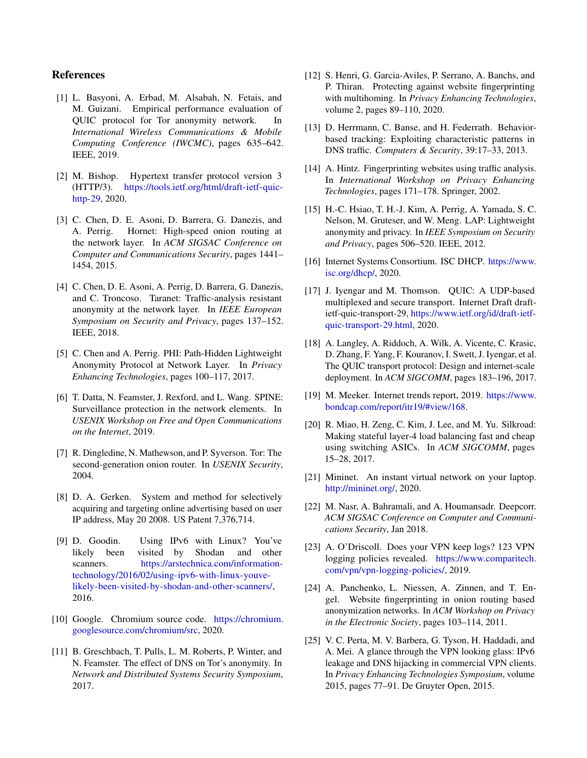### References

- <span id="page-6-20"></span>[1] L. Basyoni, A. Erbad, M. Alsabah, N. Fetais, and M. Guizani. Empirical performance evaluation of QUIC protocol for Tor anonymity network. In *International Wireless Communications & Mobile Computing Conference (IWCMC)*, pages 635–642. IEEE, 2019.
- <span id="page-6-19"></span>[2] M. Bishop. Hypertext transfer protocol version 3 (HTTP/3). [https://tools.ietf.org/html/draft-ietf-quic]( https://tools.ietf.org/html/draft-ietf-quic-http-29)[http-29,]( https://tools.ietf.org/html/draft-ietf-quic-http-29) 2020.
- <span id="page-6-7"></span>[3] C. Chen, D. E. Asoni, D. Barrera, G. Danezis, and A. Perrig. Hornet: High-speed onion routing at the network layer. In *ACM SIGSAC Conference on Computer and Communications Security*, pages 1441– 1454, 2015.
- [4] C. Chen, D. E. Asoni, A. Perrig, D. Barrera, G. Danezis, and C. Troncoso. Taranet: Traffic-analysis resistant anonymity at the network layer. In *IEEE European Symposium on Security and Privacy*, pages 137–152. IEEE, 2018.
- <span id="page-6-8"></span>[5] C. Chen and A. Perrig. PHI: Path-Hidden Lightweight Anonymity Protocol at Network Layer. In *Privacy Enhancing Technologies*, pages 100–117, 2017.
- <span id="page-6-16"></span>[6] T. Datta, N. Feamster, J. Rexford, and L. Wang. SPINE: Surveillance protection in the network elements. In *USENIX Workshop on Free and Open Communications on the Internet*, 2019.
- <span id="page-6-6"></span>[7] R. Dingledine, N. Mathewson, and P. Syverson. Tor: The second-generation onion router. In *USENIX Security*, 2004.
- <span id="page-6-1"></span>[8] D. A. Gerken. System and method for selectively acquiring and targeting online advertising based on user IP address, May 20 2008. US Patent 7,376,714.
- <span id="page-6-2"></span>[9] D. Goodin. Using IPv6 with Linux? You've likely been visited by Shodan and other scanners. [https://arstechnica.com/information](https://arstechnica.com/information-technology/2016/02/using-ipv6-with-linux-youve-likely-been-visited-by-shodan-and-other-scanners/)[technology/2016/02/using-ipv6-with-linux-youve](https://arstechnica.com/information-technology/2016/02/using-ipv6-with-linux-youve-likely-been-visited-by-shodan-and-other-scanners/)[likely-been-visited-by-shodan-and-other-scanners/,](https://arstechnica.com/information-technology/2016/02/using-ipv6-with-linux-youve-likely-been-visited-by-shodan-and-other-scanners/) 2016.
- <span id="page-6-23"></span>[10] Google. Chromium source code. [https://chromium.](https://chromium.googlesource.com/chromium/src) [googlesource.com/chromium/src,](https://chromium.googlesource.com/chromium/src) 2020.
- <span id="page-6-3"></span>[11] B. Greschbach, T. Pulls, L. M. Roberts, P. Winter, and N. Feamster. The effect of DNS on Tor's anonymity. In *Network and Distributed Systems Security Symposium*, 2017.
- <span id="page-6-18"></span>[12] S. Henri, G. Garcia-Aviles, P. Serrano, A. Banchs, and P. Thiran. Protecting against website fingerprinting with multihoming. In *Privacy Enhancing Technologies*, volume 2, pages 89–110, 2020.
- <span id="page-6-4"></span>[13] D. Herrmann, C. Banse, and H. Federrath. Behaviorbased tracking: Exploiting characteristic patterns in DNS traffic. *Computers & Security*, 39:17–33, 2013.
- <span id="page-6-10"></span>[14] A. Hintz. Fingerprinting websites using traffic analysis. In *International Workshop on Privacy Enhancing Technologies*, pages 171–178. Springer, 2002.
- <span id="page-6-9"></span>[15] H.-C. Hsiao, T. H.-J. Kim, A. Perrig, A. Yamada, S. C. Nelson, M. Gruteser, and W. Meng. LAP: Lightweight anonymity and privacy. In *IEEE Symposium on Security and Privacy*, pages 506–520. IEEE, 2012.
- <span id="page-6-22"></span>[16] Internet Systems Consortium. ISC DHCP. [https://www.](https://www.isc.org/dhcp/) [isc.org/dhcp/,](https://www.isc.org/dhcp/) 2020.
- <span id="page-6-15"></span>[17] J. Iyengar and M. Thomson. QUIC: A UDP-based multiplexed and secure transport. Internet Draft draftietf-quic-transport-29, [https://www.ietf.org/id/draft-ietf](https://www.ietf.org/id/draft-ietf-quic-transport-29.html)[quic-transport-29.html,](https://www.ietf.org/id/draft-ietf-quic-transport-29.html) 2020.
- <span id="page-6-13"></span>[18] A. Langley, A. Riddoch, A. Wilk, A. Vicente, C. Krasic, D. Zhang, F. Yang, F. Kouranov, I. Swett, J. Iyengar, et al. The QUIC transport protocol: Design and internet-scale deployment. In *ACM SIGCOMM*, pages 183–196, 2017.
- <span id="page-6-0"></span>[19] M. Meeker. Internet trends report, 2019. [https://www.](https://www.bondcap.com/report/itr19/#view/168) [bondcap.com/report/itr19/#view/168.](https://www.bondcap.com/report/itr19/#view/168)
- <span id="page-6-21"></span>[20] R. Miao, H. Zeng, C. Kim, J. Lee, and M. Yu. Silkroad: Making stateful layer-4 load balancing fast and cheap using switching ASICs. In *ACM SIGCOMM*, pages 15–28, 2017.
- <span id="page-6-14"></span>[21] Mininet. An instant virtual network on your laptop. [http://mininet.org/,](http://mininet.org/) 2020.
- <span id="page-6-11"></span>[22] M. Nasr, A. Bahramali, and A. Houmansadr. Deepcorr. *ACM SIGSAC Conference on Computer and Communications Security*, Jan 2018.
- <span id="page-6-5"></span>[23] A. O'Driscoll. Does your VPN keep logs? 123 VPN logging policies revealed. [https://www.comparitech.](https://www.comparitech.com/vpn/vpn-logging-policies/) [com/vpn/vpn-logging-policies/,](https://www.comparitech.com/vpn/vpn-logging-policies/) 2019.
- <span id="page-6-12"></span>[24] A. Panchenko, L. Niessen, A. Zinnen, and T. Engel. Website fingerprinting in onion routing based anonymization networks. In *ACM Workshop on Privacy in the Electronic Society*, pages 103–114, 2011.
- <span id="page-6-17"></span>[25] V. C. Perta, M. V. Barbera, G. Tyson, H. Haddadi, and A. Mei. A glance through the VPN looking glass: IPv6 leakage and DNS hijacking in commercial VPN clients. In *Privacy Enhancing Technologies Symposium*, volume 2015, pages 77–91. De Gruyter Open, 2015.